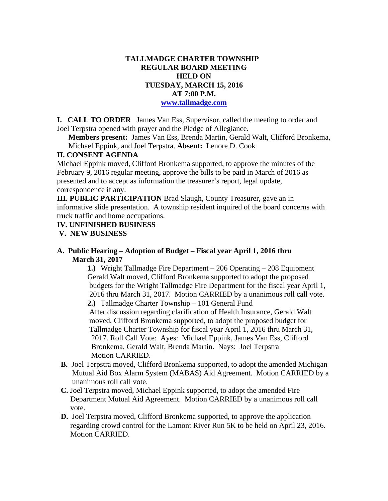### **TALLMADGE CHARTER TOWNSHIP REGULAR BOARD MEETING HELD ON TUESDAY, MARCH 15, 2016 AT 7:00 P.M. www.tallmadge.com**

**I. CALL TO ORDER** James Van Ess, Supervisor, called the meeting to order and Joel Terpstra opened with prayer and the Pledge of Allegiance.

**Members present:** James Van Ess, Brenda Martin, Gerald Walt, Clifford Bronkema, Michael Eppink, and Joel Terpstra. **Absent:** Lenore D. Cook

### **II. CONSENT AGENDA**

Michael Eppink moved, Clifford Bronkema supported, to approve the minutes of the February 9, 2016 regular meeting, approve the bills to be paid in March of 2016 as presented and to accept as information the treasurer's report, legal update, correspondence if any.

**III. PUBLIC PARTICIPATION** Brad Slaugh, County Treasurer, gave an in informative slide presentation. A township resident inquired of the board concerns with truck traffic and home occupations.

## **IV. UNFINISHED BUSINESS**

 **V. NEW BUSINESS** 

### **A. Public Hearing – Adoption of Budget – Fiscal year April 1, 2016 thru March 31, 2017**

**1.)** Wright Tallmadge Fire Department – 206 Operating – 208 Equipment Gerald Walt moved, Clifford Bronkema supported to adopt the proposed budgets for the Wright Tallmadge Fire Department for the fiscal year April 1, 2016 thru March 31, 2017. Motion CARRIED by a unanimous roll call vote. **2.)** Tallmadge Charter Township – 101 General Fund After discussion regarding clarification of Health Insurance, Gerald Walt moved, Clifford Bronkema supported, to adopt the proposed budget for Tallmadge Charter Township for fiscal year April 1, 2016 thru March 31, 2017. Roll Call Vote: Ayes: Michael Eppink, James Van Ess, Clifford Bronkema, Gerald Walt, Brenda Martin. Nays: Joel Terpstra Motion CARRIED.

- **B.** Joel Terpstra moved, Clifford Bronkema supported, to adopt the amended Michigan Mutual Aid Box Alarm System (MABAS) Aid Agreement. Motion CARRIED by a unanimous roll call vote.
- **C.** Joel Terpstra moved, Michael Eppink supported, to adopt the amended Fire Department Mutual Aid Agreement. Motion CARRIED by a unanimous roll call vote.
- **D.** Joel Terpstra moved, Clifford Bronkema supported, to approve the application regarding crowd control for the Lamont River Run 5K to be held on April 23, 2016. Motion CARRIED.